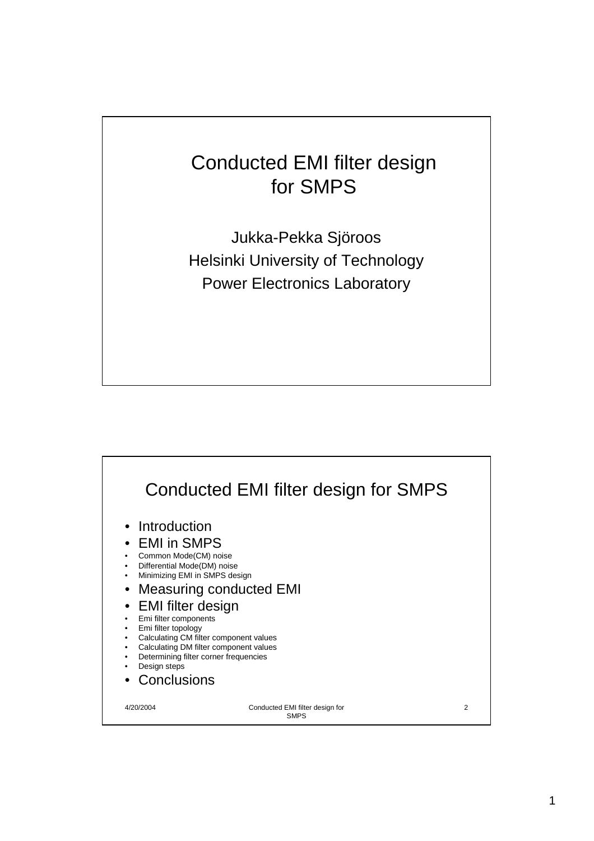## Conducted EMI filter design for SMPS

Jukka-Pekka Sjöroos Helsinki University of Technology Power Electronics Laboratory

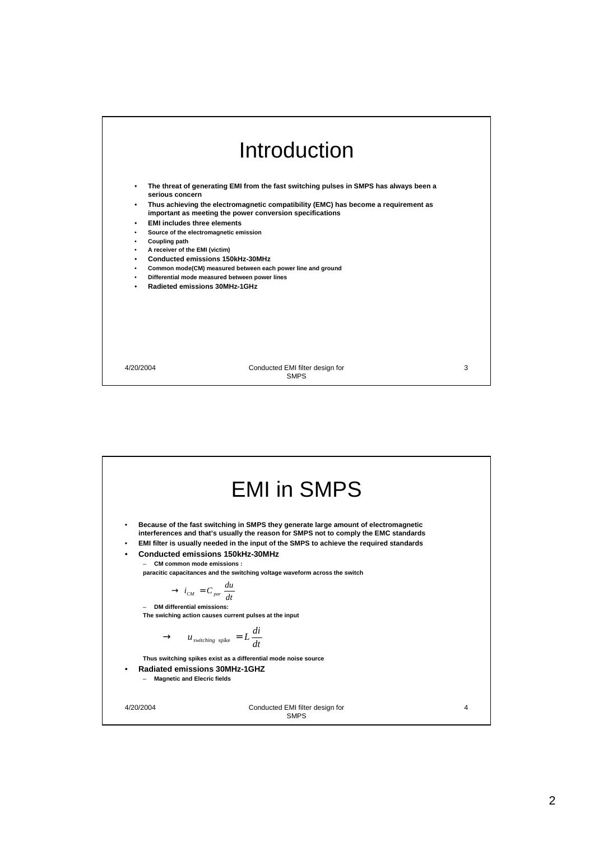

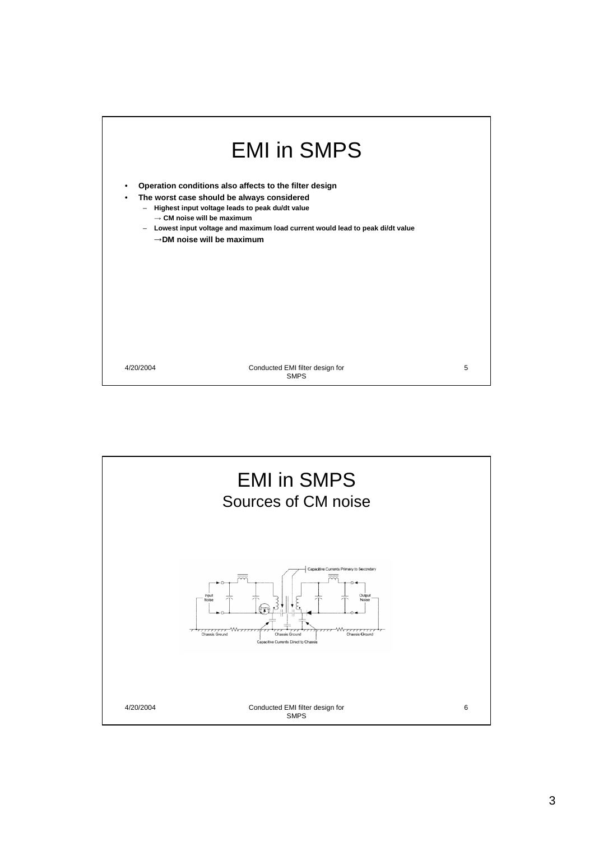

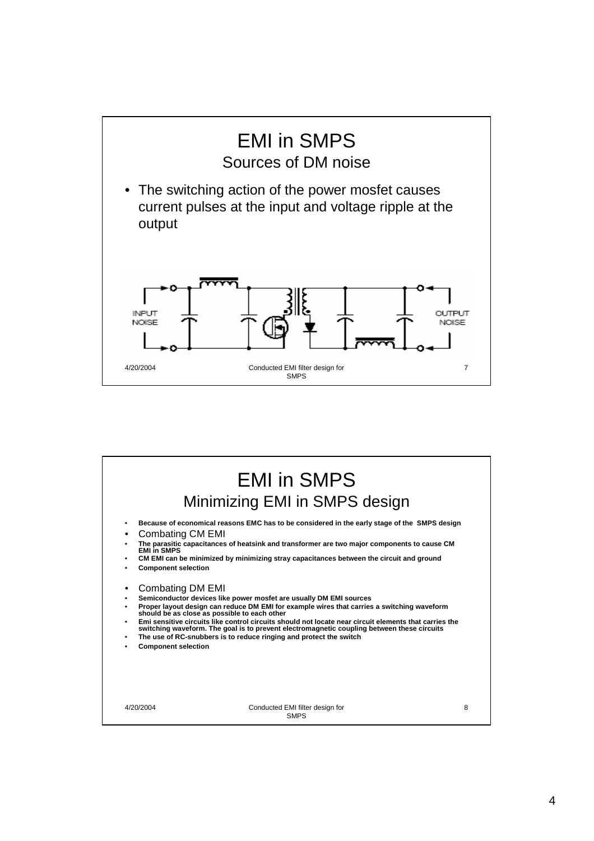

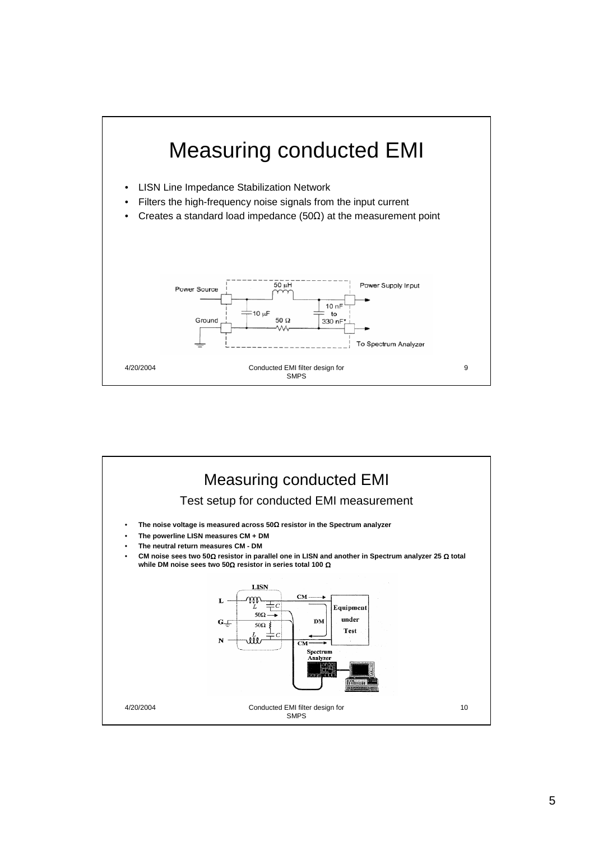

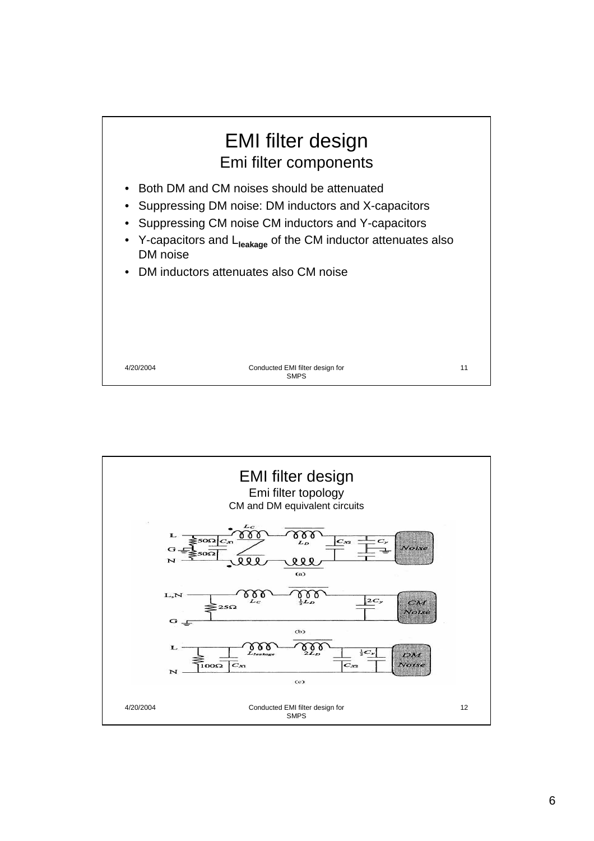

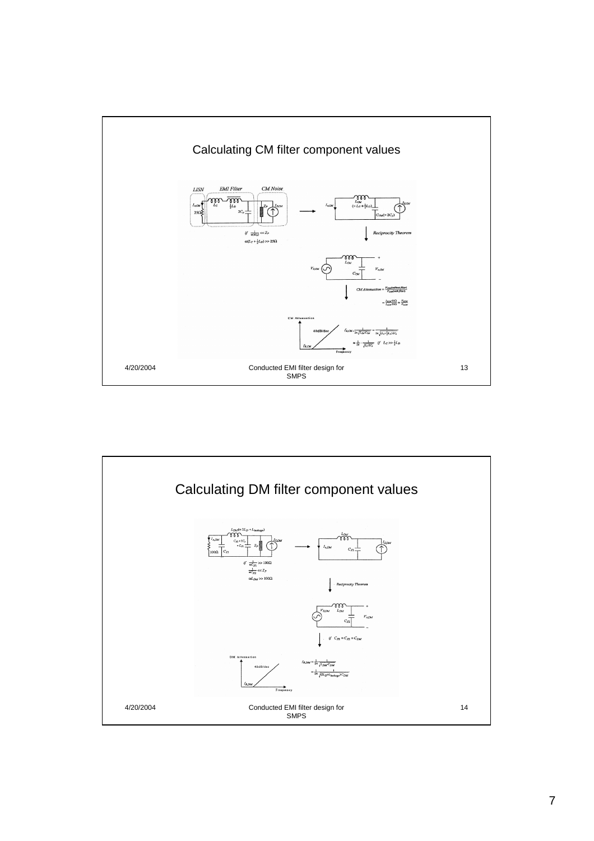

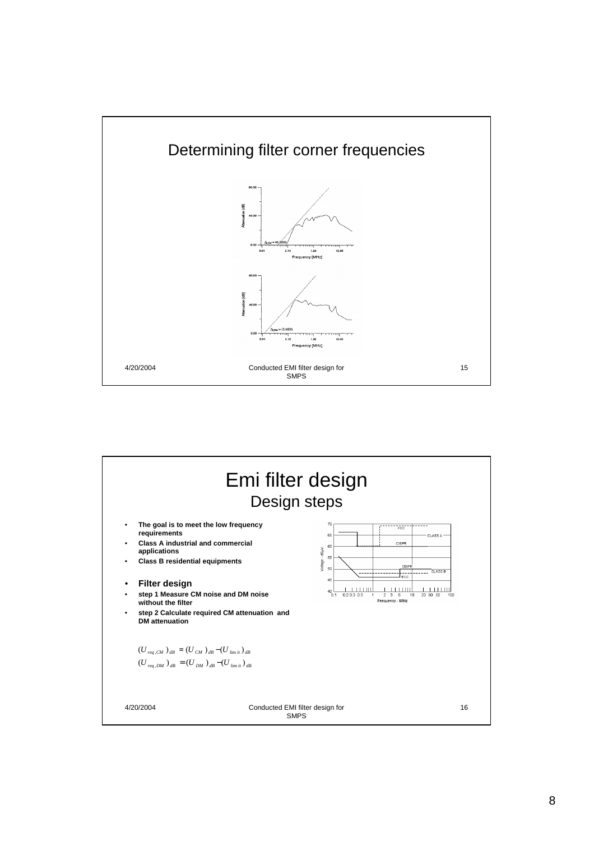

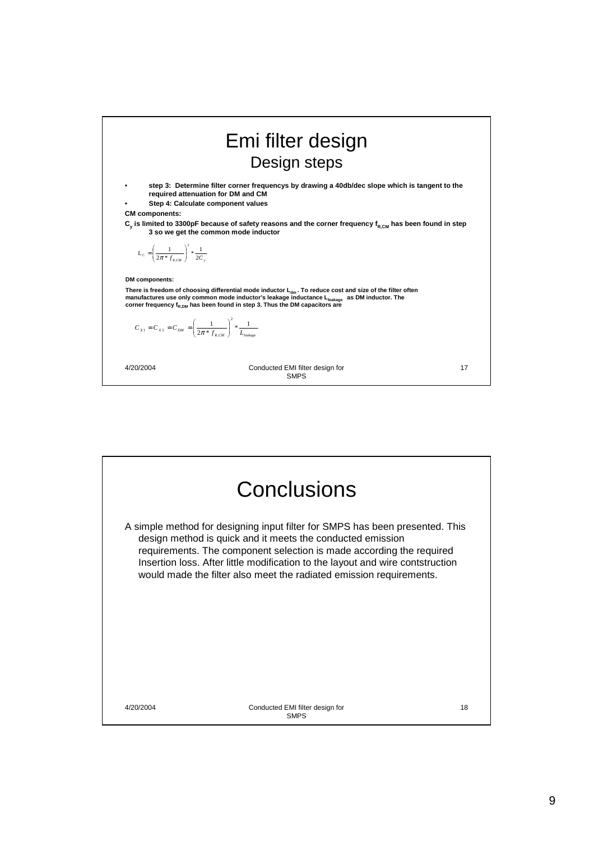|                                                                                           | Emi filter design<br>Design steps                                                                                                                                                                                                                                                                                                                     |    |
|-------------------------------------------------------------------------------------------|-------------------------------------------------------------------------------------------------------------------------------------------------------------------------------------------------------------------------------------------------------------------------------------------------------------------------------------------------------|----|
| ٠<br><b>CM</b> components:                                                                | step 3: Determine filter corner frequencys by drawing a 40db/dec slope which is tangent to the<br>required attenuation for DM and CM<br>Step 4: Calculate component values<br>$C_{\text{v}}$ is limited to 3300pF because of safety reasons and the corner frequency f <sub>R.CM</sub> has been found in step<br>3 so we get the common mode inductor |    |
| $L_c = \left(\frac{1}{2\pi * f_{\text{max}}}\right)^2 * \frac{1}{2C}$                     |                                                                                                                                                                                                                                                                                                                                                       |    |
| <b>DM</b> components:                                                                     |                                                                                                                                                                                                                                                                                                                                                       |    |
|                                                                                           | There is freedom of choosing differential mode inductor L <sub>dm</sub> . To reduce cost and size of the filter often<br>manufactures use only common mode inductor's leakage inductance Lleakage as DM inductor. The<br>corner frequency $f_{R,DM}$ has been found in step 3. Thus the DM capacitors are                                             |    |
| $C_{x1} = C_{x2} = C_{DM} = \left(\frac{1}{2\pi * f_{ocou}}\right)^2 * \frac{1}{L_{com}}$ |                                                                                                                                                                                                                                                                                                                                                       |    |
| 4/20/2004                                                                                 | Conducted EMI filter design for<br><b>SMPS</b>                                                                                                                                                                                                                                                                                                        | 17 |